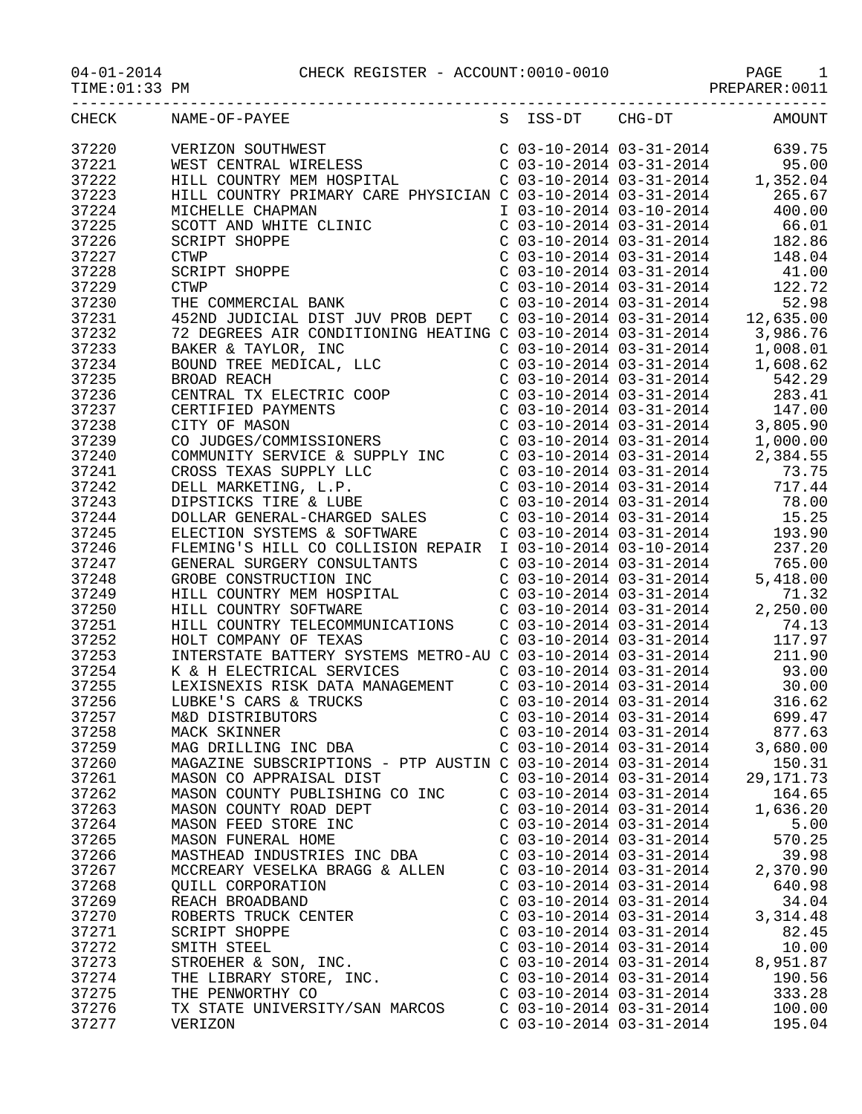## 04-01-2014 CHECK REGISTER - ACCOUNT:0010-0010 PAGE 1

PREPARER:0011

|       | CHECK NAME-OF-PAYEE<br>VERIZON SOUTHWEST<br>VERIZON SOUTHWEST<br>WEST CENTRAL WIRELESS<br>MEST CENTRAL WIRELESS<br>C 03-10-2014 03-31-2014<br>C 03-10-2014 03-31-2014<br>C 03-10-2014 03-31-2014<br>1,352.04<br>HILL COUNTRY PRIMARY CARE PHYSICIAN C 03-10-2014 03-3 |                           | S ISS-DT CHG-DT AMOUNT           |
|-------|-----------------------------------------------------------------------------------------------------------------------------------------------------------------------------------------------------------------------------------------------------------------------|---------------------------|----------------------------------|
| 37220 |                                                                                                                                                                                                                                                                       |                           |                                  |
| 37221 |                                                                                                                                                                                                                                                                       |                           |                                  |
| 37222 |                                                                                                                                                                                                                                                                       |                           |                                  |
| 37223 |                                                                                                                                                                                                                                                                       |                           |                                  |
| 37224 | MICHELLE CHAPMAN<br>SCOTT AND WHITE CLINIC<br>SCRIPT SHOPPE<br>CTWP<br>SCRIPT SHOPPE<br>CTWP<br>THE COMMERCIAL BANK<br>THE COMMERCIAL BANK                                                                                                                            |                           |                                  |
| 37225 |                                                                                                                                                                                                                                                                       |                           |                                  |
| 37226 |                                                                                                                                                                                                                                                                       |                           |                                  |
| 37227 |                                                                                                                                                                                                                                                                       |                           |                                  |
| 37228 |                                                                                                                                                                                                                                                                       |                           |                                  |
| 37229 |                                                                                                                                                                                                                                                                       |                           |                                  |
| 37230 |                                                                                                                                                                                                                                                                       |                           |                                  |
| 37231 | CTWP<br>CTWP<br>COMMERCIAL BANK<br>COMMERCIAL BANK<br>COMMERCIAL BANK<br>COMMERCIAL BANK<br>COMMERCIAL BANK<br>COMMERCIAL BANK<br>COMMERCIAL BANK<br>COMMERCIAL BANK<br>COMMERCIAL BANK<br>COMMERCIAL BANK<br>COMMERCIAL BANK<br>COMMERCIAL DIST JUV PRO              |                           |                                  |
|       |                                                                                                                                                                                                                                                                       |                           |                                  |
| 37232 | 72 DEGREES AIR CONDITIONING HEATING C 03-10-2014 03-31-2014 3,986.76<br>BAKER & TAYLOR, INC C 03-10-2014 03-31-2014 1,008.01<br>BOUND TREE MEDICAL, LLC C 03-10-2014 03-31-2014 1,608.62<br>BROAD REACH C 03-10-2014 03-31-2014 542.                                  |                           |                                  |
| 37233 |                                                                                                                                                                                                                                                                       |                           |                                  |
| 37234 |                                                                                                                                                                                                                                                                       |                           |                                  |
| 37235 |                                                                                                                                                                                                                                                                       |                           |                                  |
| 37236 |                                                                                                                                                                                                                                                                       |                           |                                  |
| 37237 |                                                                                                                                                                                                                                                                       |                           |                                  |
| 37238 |                                                                                                                                                                                                                                                                       |                           |                                  |
| 37239 |                                                                                                                                                                                                                                                                       |                           |                                  |
| 37240 |                                                                                                                                                                                                                                                                       |                           |                                  |
| 37241 |                                                                                                                                                                                                                                                                       |                           |                                  |
| 37242 |                                                                                                                                                                                                                                                                       |                           |                                  |
| 37243 |                                                                                                                                                                                                                                                                       |                           |                                  |
| 37244 |                                                                                                                                                                                                                                                                       |                           |                                  |
| 37245 |                                                                                                                                                                                                                                                                       |                           |                                  |
| 37246 |                                                                                                                                                                                                                                                                       |                           |                                  |
| 37247 |                                                                                                                                                                                                                                                                       |                           |                                  |
| 37248 | GROBE CONSTRUCTION INC<br>HILL COUNTRY MEM HOSPITAL CORPORATION C 03-10-2014 03-31-2014<br>HILL COUNTRY SOFTWARE C 03-10-2014 03-31-2014 2,250.00<br>HILL COUNTRY TELECOMMUNICATIONS C 03-10-2014 03-31-2014 74.13                                                    |                           |                                  |
| 37249 |                                                                                                                                                                                                                                                                       |                           |                                  |
| 37250 |                                                                                                                                                                                                                                                                       |                           |                                  |
| 37251 |                                                                                                                                                                                                                                                                       |                           |                                  |
| 37252 | HOLT COMPANY OF TEXAS                                                                                                                                                                                                                                                 |                           | $C$ 03-10-2014 03-31-2014 117.97 |
| 37253 | INTERSTATE BATTERY SYSTEMS METRO-AU C 03-10-2014 03-31-2014 211.90                                                                                                                                                                                                    |                           |                                  |
| 37254 | K & H ELECTRICAL SERVICES C 03-10-2014 03-31-2014 93.00                                                                                                                                                                                                               |                           |                                  |
| 37255 |                                                                                                                                                                                                                                                                       |                           |                                  |
| 37256 | $\sum_{i=1}^{n}$                                                                                                                                                                                                                                                      |                           |                                  |
| 37257 |                                                                                                                                                                                                                                                                       |                           |                                  |
| 37258 | MACK SKINNER                                                                                                                                                                                                                                                          | C 03-10-2014 03-31-2014   | 877.63                           |
| 37259 | MAG DRILLING INC DBA                                                                                                                                                                                                                                                  | $C$ 03-10-2014 03-31-2014 | 3,680.00                         |
| 37260 | MAGAZINE SUBSCRIPTIONS - PTP AUSTIN C 03-10-2014 03-31-2014                                                                                                                                                                                                           |                           | 150.31                           |
| 37261 | MASON CO APPRAISAL DIST                                                                                                                                                                                                                                               | $C$ 03-10-2014 03-31-2014 | 29, 171.73                       |
| 37262 | MASON COUNTY PUBLISHING CO INC                                                                                                                                                                                                                                        | $C$ 03-10-2014 03-31-2014 | 164.65                           |
| 37263 | MASON COUNTY ROAD DEPT                                                                                                                                                                                                                                                | $C$ 03-10-2014 03-31-2014 | 1,636.20                         |
| 37264 | MASON FEED STORE INC                                                                                                                                                                                                                                                  | $C$ 03-10-2014 03-31-2014 | 5.00                             |
| 37265 | MASON FUNERAL HOME                                                                                                                                                                                                                                                    | $C$ 03-10-2014 03-31-2014 | 570.25                           |
| 37266 | MASTHEAD INDUSTRIES INC DBA                                                                                                                                                                                                                                           | $C$ 03-10-2014 03-31-2014 | 39.98                            |
| 37267 | MCCREARY VESELKA BRAGG & ALLEN                                                                                                                                                                                                                                        | $C$ 03-10-2014 03-31-2014 | 2,370.90                         |
| 37268 | QUILL CORPORATION                                                                                                                                                                                                                                                     | $C$ 03-10-2014 03-31-2014 | 640.98                           |
| 37269 | REACH BROADBAND                                                                                                                                                                                                                                                       | $C$ 03-10-2014 03-31-2014 | 34.04                            |
| 37270 | ROBERTS TRUCK CENTER                                                                                                                                                                                                                                                  | $C$ 03-10-2014 03-31-2014 | 3,314.48                         |
| 37271 | SCRIPT SHOPPE                                                                                                                                                                                                                                                         | $C$ 03-10-2014 03-31-2014 | 82.45                            |
| 37272 | SMITH STEEL                                                                                                                                                                                                                                                           | $C$ 03-10-2014 03-31-2014 | 10.00                            |
| 37273 | STROEHER & SON, INC.                                                                                                                                                                                                                                                  | $C$ 03-10-2014 03-31-2014 | 8,951.87                         |
| 37274 | THE LIBRARY STORE, INC.                                                                                                                                                                                                                                               | $C$ 03-10-2014 03-31-2014 | 190.56                           |
| 37275 | THE PENWORTHY CO                                                                                                                                                                                                                                                      | $C$ 03-10-2014 03-31-2014 | 333.28                           |
| 37276 | TX STATE UNIVERSITY/SAN MARCOS                                                                                                                                                                                                                                        | $C$ 03-10-2014 03-31-2014 | 100.00                           |
| 37277 | VERIZON                                                                                                                                                                                                                                                               | $C$ 03-10-2014 03-31-2014 | 195.04                           |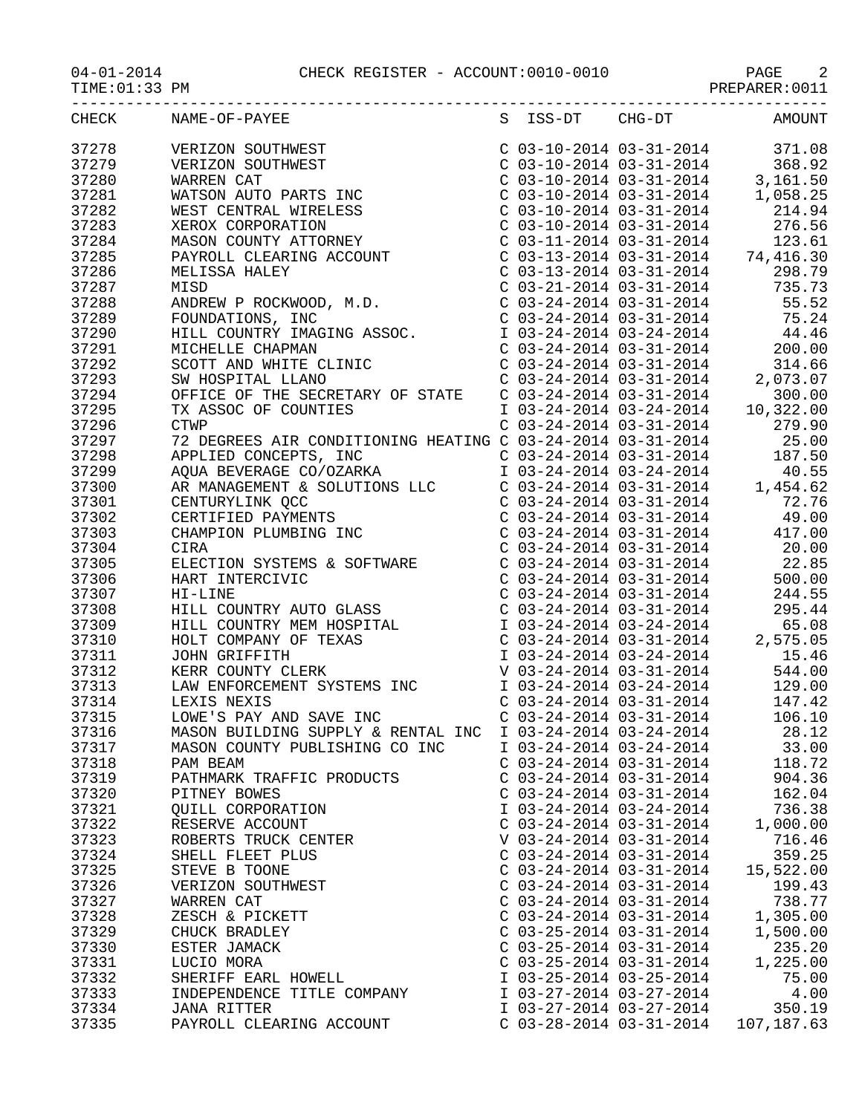04-01-2014 CHECK REGISTER - ACCOUNT:0010-0010 PAGE 2

| CHECK          | NAME-OF-PAYEE<br>$\begin{tabular}{l c c c c c} \multicolumn{1}{l}{\textbf{NAMSE}-OF-PANEEY} & \multicolumn{1}{l}{\textbf{S}} & \multicolumn{1}{l}{SS-DT} & \multicolumn{1}{l}{\textbf{C}} \\ \multicolumn{1}{l}{\textbf{VERIZON}} & \multicolumn{1}{l}{\textbf{S}} & \multicolumn{1}{l}{\textbf{S}} & \multicolumn{1}{l}{\textbf{S}-12014} & \multicolumn{1}{l}{\textbf{3}-31-2014} & \multicolumn{1}{l}{\textbf{3}-31-2014} & \multicolumn{1}{l}{\text$ | S ISS-DT                                             | $CHG-DT$ | <b>AMOUNT</b>                                                                                                                                                                                                                                                               |
|----------------|----------------------------------------------------------------------------------------------------------------------------------------------------------------------------------------------------------------------------------------------------------------------------------------------------------------------------------------------------------------------------------------------------------------------------------------------------------|------------------------------------------------------|----------|-----------------------------------------------------------------------------------------------------------------------------------------------------------------------------------------------------------------------------------------------------------------------------|
| 37278          |                                                                                                                                                                                                                                                                                                                                                                                                                                                          |                                                      |          |                                                                                                                                                                                                                                                                             |
| 37279          |                                                                                                                                                                                                                                                                                                                                                                                                                                                          |                                                      |          |                                                                                                                                                                                                                                                                             |
| 37280          |                                                                                                                                                                                                                                                                                                                                                                                                                                                          |                                                      |          |                                                                                                                                                                                                                                                                             |
| 37281          |                                                                                                                                                                                                                                                                                                                                                                                                                                                          |                                                      |          |                                                                                                                                                                                                                                                                             |
| 37282          |                                                                                                                                                                                                                                                                                                                                                                                                                                                          |                                                      |          |                                                                                                                                                                                                                                                                             |
| 37283          |                                                                                                                                                                                                                                                                                                                                                                                                                                                          |                                                      |          |                                                                                                                                                                                                                                                                             |
| 37284          |                                                                                                                                                                                                                                                                                                                                                                                                                                                          |                                                      |          |                                                                                                                                                                                                                                                                             |
| 37285          |                                                                                                                                                                                                                                                                                                                                                                                                                                                          |                                                      |          |                                                                                                                                                                                                                                                                             |
| 37286          |                                                                                                                                                                                                                                                                                                                                                                                                                                                          |                                                      |          |                                                                                                                                                                                                                                                                             |
| 37287          |                                                                                                                                                                                                                                                                                                                                                                                                                                                          |                                                      |          |                                                                                                                                                                                                                                                                             |
| 37288          |                                                                                                                                                                                                                                                                                                                                                                                                                                                          |                                                      |          |                                                                                                                                                                                                                                                                             |
| 37289          |                                                                                                                                                                                                                                                                                                                                                                                                                                                          |                                                      |          |                                                                                                                                                                                                                                                                             |
| 37290          |                                                                                                                                                                                                                                                                                                                                                                                                                                                          |                                                      |          |                                                                                                                                                                                                                                                                             |
| 37291          |                                                                                                                                                                                                                                                                                                                                                                                                                                                          |                                                      |          |                                                                                                                                                                                                                                                                             |
| 37292          |                                                                                                                                                                                                                                                                                                                                                                                                                                                          |                                                      |          |                                                                                                                                                                                                                                                                             |
| 37293          |                                                                                                                                                                                                                                                                                                                                                                                                                                                          |                                                      |          |                                                                                                                                                                                                                                                                             |
| 37294          | OFFICE OF THE SECRETARY OF STATE<br>TX ASSOC OF COUNTIES<br>CTWP                                                                                                                                                                                                                                                                                                                                                                                         |                                                      |          | $200.00$<br>$24-2014$<br>$03-24-2014$<br>$03-24-2014$<br>$03-31-2014$<br>$03-31-2014$<br>$03-31-2014$<br>$03-31-2014$<br>$03-31-2014$<br>$03-31-2014$<br>$03-31-2014$<br>$03-24-2014$<br>$03-24-2014$<br>$03-24-2014$<br>$03-24-2014$<br>$03-24-2014$<br>$03-$              |
| 37295          |                                                                                                                                                                                                                                                                                                                                                                                                                                                          |                                                      |          |                                                                                                                                                                                                                                                                             |
| 37296          |                                                                                                                                                                                                                                                                                                                                                                                                                                                          |                                                      |          |                                                                                                                                                                                                                                                                             |
| 37297          |                                                                                                                                                                                                                                                                                                                                                                                                                                                          |                                                      |          |                                                                                                                                                                                                                                                                             |
| 37298          |                                                                                                                                                                                                                                                                                                                                                                                                                                                          |                                                      |          |                                                                                                                                                                                                                                                                             |
| 37299          |                                                                                                                                                                                                                                                                                                                                                                                                                                                          |                                                      |          |                                                                                                                                                                                                                                                                             |
| 37300          | CTWP<br>72 DEGREES AIR CONDITIONING HEATING C 03-24-2014 03-31-2014<br>72 DEGREES AIR CONDITIONING HEATING C 03-24-2014 03-31-2014<br>APPLIED CONCEPTS, INC<br>AQUA BEVERAGE CO/OZARKA<br>T 03-24-2014 03-31-2014<br>AR MANAGEMENT & SOLUT<br>APPLIED CONCEPTS, INC<br>AQUA BEVERAGE CO/OZARKA<br>AR MANAGEMENT & SOLUTIONS LLC<br>CENTURYLINK QCC<br>CERTIFIED PAYMENTS<br>CHAMPION PLUMBING INC<br>CIRA<br>FIECTION SYSTEMS & SOFFWARE                 |                                                      |          |                                                                                                                                                                                                                                                                             |
| 37301          |                                                                                                                                                                                                                                                                                                                                                                                                                                                          |                                                      |          |                                                                                                                                                                                                                                                                             |
| 37302          |                                                                                                                                                                                                                                                                                                                                                                                                                                                          |                                                      |          |                                                                                                                                                                                                                                                                             |
| 37303          |                                                                                                                                                                                                                                                                                                                                                                                                                                                          |                                                      |          |                                                                                                                                                                                                                                                                             |
| 37304          |                                                                                                                                                                                                                                                                                                                                                                                                                                                          |                                                      |          |                                                                                                                                                                                                                                                                             |
| 37305          |                                                                                                                                                                                                                                                                                                                                                                                                                                                          |                                                      |          |                                                                                                                                                                                                                                                                             |
| 37306          | THE CIRA<br>ELECTION SYSTEMS & SOFTWARE<br>HART INTERCIVIC<br>HI-LINE<br>HILL COUNTRY AUTO GLASS<br>HILL COUNTRY MEM HOSPITAL<br>HOLT COMPANY OF TEXAS<br>JOHN GRIFFITH<br>KERR COUNTY CLERK<br>LAW ENFORCEMENT SYSTEMS INC<br>LEXIS NEXIS<br>LOWE'S                                                                                                                                                                                                     |                                                      |          | $20.024 - 2014$<br>$0.025 - 24 - 2014$<br>$0.025 - 24 - 2014$<br>$0.025 - 24 - 2014$<br>$0.025 - 24 - 2014$<br>$0.025 - 24 - 2014$<br>$0.025 - 24 - 2014$<br>$0.025 - 24 - 2014$<br>$0.025 - 24 - 2014$<br>$0.025 - 24 - 2014$<br>$0.025 - 24 - 2014$<br>$0.025 - 24 - 201$ |
| 37307          |                                                                                                                                                                                                                                                                                                                                                                                                                                                          |                                                      |          |                                                                                                                                                                                                                                                                             |
| 37308          |                                                                                                                                                                                                                                                                                                                                                                                                                                                          |                                                      |          | C 03-24-2014 03-31-2014 295.44<br>I 03-24-2014 03-24-2014 65.08<br>C 03-24-2014 03-31-2014 65.08<br>C 03-24-2014 03-31-2014 2,575.05<br>I 03-24-2014 03-24-2014 15.46<br>V 03-24-2014 03-31-2014 544.00                                                                     |
| 37309          |                                                                                                                                                                                                                                                                                                                                                                                                                                                          |                                                      |          |                                                                                                                                                                                                                                                                             |
| 37310          |                                                                                                                                                                                                                                                                                                                                                                                                                                                          |                                                      |          |                                                                                                                                                                                                                                                                             |
| 37311          |                                                                                                                                                                                                                                                                                                                                                                                                                                                          |                                                      |          |                                                                                                                                                                                                                                                                             |
| 37312          |                                                                                                                                                                                                                                                                                                                                                                                                                                                          |                                                      |          |                                                                                                                                                                                                                                                                             |
| 37313          | LAW ENFORCEMENT SYSTEMS INC<br>LEXIS NEXIS<br>LEXIS NEXIS<br>LOWE'S PAY AND SAVE INC<br>LOWE'S PAY AND SAVE INC<br>MASON BUILDING SUPPLY & RENTAL INC I 03-24-2014 03-24-2014<br>1                                                                                                                                                                                                                                                                       |                                                      |          | 129.00                                                                                                                                                                                                                                                                      |
| 37314          |                                                                                                                                                                                                                                                                                                                                                                                                                                                          |                                                      |          | 147.42                                                                                                                                                                                                                                                                      |
| 37315          |                                                                                                                                                                                                                                                                                                                                                                                                                                                          |                                                      |          | 106.10                                                                                                                                                                                                                                                                      |
| 37316          |                                                                                                                                                                                                                                                                                                                                                                                                                                                          |                                                      |          | 28.12                                                                                                                                                                                                                                                                       |
| 37317          | MASON COUNTY PUBLISHING CO INC                                                                                                                                                                                                                                                                                                                                                                                                                           | I 03-24-2014 03-24-2014                              |          | 33.00                                                                                                                                                                                                                                                                       |
| 37318          | PAM BEAM                                                                                                                                                                                                                                                                                                                                                                                                                                                 | $C$ 03-24-2014 03-31-2014                            |          | 118.72                                                                                                                                                                                                                                                                      |
| 37319          | PATHMARK TRAFFIC PRODUCTS                                                                                                                                                                                                                                                                                                                                                                                                                                | $C$ 03-24-2014 03-31-2014                            |          | 904.36                                                                                                                                                                                                                                                                      |
| 37320          | PITNEY BOWES                                                                                                                                                                                                                                                                                                                                                                                                                                             | $C$ 03-24-2014 03-31-2014                            |          | 162.04                                                                                                                                                                                                                                                                      |
| 37321          | QUILL CORPORATION                                                                                                                                                                                                                                                                                                                                                                                                                                        | I 03-24-2014 03-24-2014                              |          | 736.38                                                                                                                                                                                                                                                                      |
| 37322          | RESERVE ACCOUNT                                                                                                                                                                                                                                                                                                                                                                                                                                          | $C$ 03-24-2014 03-31-2014                            |          | 1,000.00                                                                                                                                                                                                                                                                    |
| 37323          | ROBERTS TRUCK CENTER                                                                                                                                                                                                                                                                                                                                                                                                                                     | V 03-24-2014 03-31-2014                              |          | 716.46                                                                                                                                                                                                                                                                      |
| 37324          | SHELL FLEET PLUS                                                                                                                                                                                                                                                                                                                                                                                                                                         | $C$ 03-24-2014 03-31-2014                            |          | 359.25                                                                                                                                                                                                                                                                      |
| 37325          | STEVE B TOONE                                                                                                                                                                                                                                                                                                                                                                                                                                            | $C$ 03-24-2014 03-31-2014                            |          | 15,522.00                                                                                                                                                                                                                                                                   |
| 37326          | VERIZON SOUTHWEST                                                                                                                                                                                                                                                                                                                                                                                                                                        | $C$ 03-24-2014 03-31-2014                            |          | 199.43                                                                                                                                                                                                                                                                      |
| 37327          | WARREN CAT                                                                                                                                                                                                                                                                                                                                                                                                                                               | $C$ 03-24-2014 03-31-2014                            |          | 738.77                                                                                                                                                                                                                                                                      |
| 37328          | ZESCH & PICKETT                                                                                                                                                                                                                                                                                                                                                                                                                                          | $C$ 03-24-2014 03-31-2014                            |          | 1,305.00                                                                                                                                                                                                                                                                    |
| 37329          | CHUCK BRADLEY                                                                                                                                                                                                                                                                                                                                                                                                                                            | $C$ 03-25-2014 03-31-2014                            |          | 1,500.00                                                                                                                                                                                                                                                                    |
| 37330          | ESTER JAMACK                                                                                                                                                                                                                                                                                                                                                                                                                                             | $C$ 03-25-2014 03-31-2014                            |          | 235.20                                                                                                                                                                                                                                                                      |
| 37331          | LUCIO MORA                                                                                                                                                                                                                                                                                                                                                                                                                                               | $C$ 03-25-2014 03-31-2014                            |          | 1,225.00                                                                                                                                                                                                                                                                    |
| 37332          | SHERIFF EARL HOWELL                                                                                                                                                                                                                                                                                                                                                                                                                                      | I 03-25-2014 03-25-2014                              |          | 75.00                                                                                                                                                                                                                                                                       |
| 37333          | INDEPENDENCE TITLE COMPANY                                                                                                                                                                                                                                                                                                                                                                                                                               | I 03-27-2014 03-27-2014                              |          | 4.00                                                                                                                                                                                                                                                                        |
| 37334<br>37335 | <b>JANA RITTER</b><br>PAYROLL CLEARING ACCOUNT                                                                                                                                                                                                                                                                                                                                                                                                           | I 03-27-2014 03-27-2014<br>$C$ 03-28-2014 03-31-2014 |          | 350.19<br>107,187.63                                                                                                                                                                                                                                                        |
|                |                                                                                                                                                                                                                                                                                                                                                                                                                                                          |                                                      |          |                                                                                                                                                                                                                                                                             |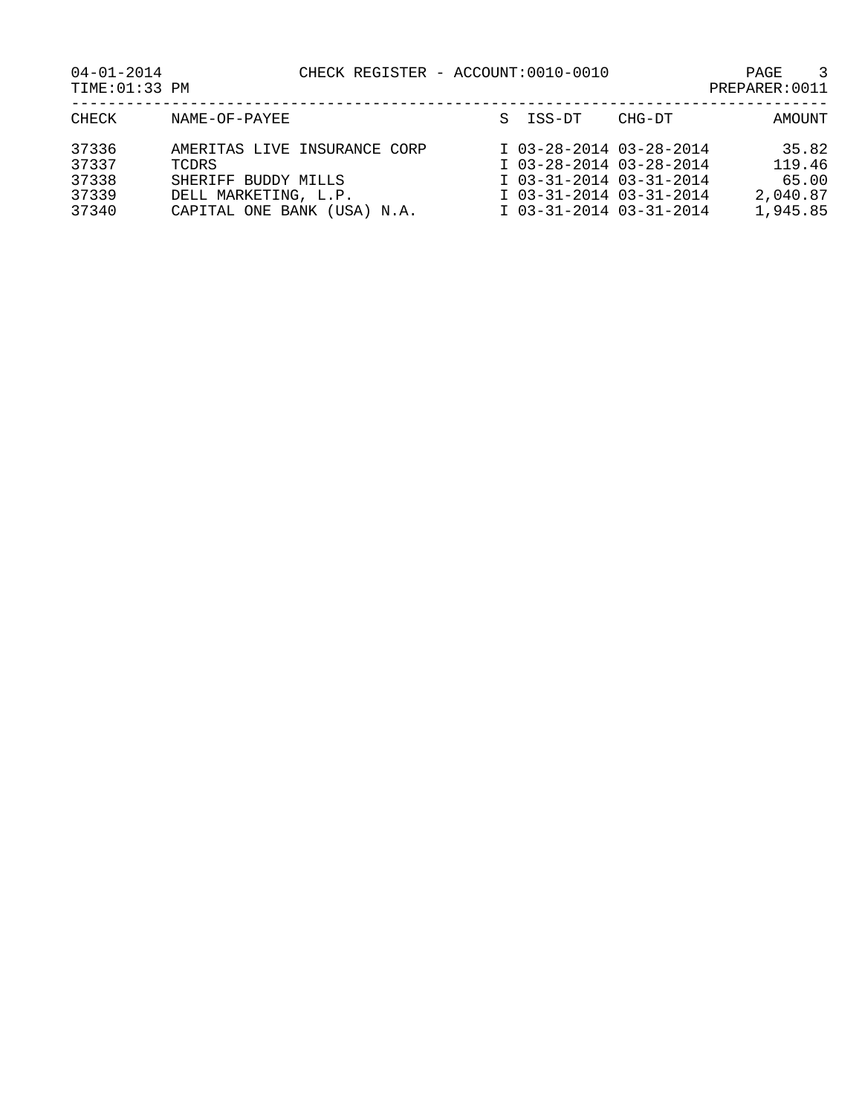PAGE CHECK REGISTER - ACCOUNT:0010-0010<br>PREPARER:0011

| $04 - 01 - 2014$ |  |
|------------------|--|
| TIME: 01:33 PM   |  |

| CHECK | NAME-OF-PAYEE                | S ISS-DT                | CHG-DT | AMOUNT   |
|-------|------------------------------|-------------------------|--------|----------|
| 37336 | AMERITAS LIVE INSURANCE CORP | I 03-28-2014 03-28-2014 |        | 35.82    |
| 37337 | TCDRS.                       | I 03-28-2014 03-28-2014 |        | 119.46   |
| 37338 | SHERIFF BUDDY MILLS          | I 03-31-2014 03-31-2014 |        | 65.00    |
| 37339 | DELL MARKETING, L.P.         | I 03-31-2014 03-31-2014 |        | 2,040.87 |
| 37340 | CAPITAL ONE BANK (USA) N.A.  | I 03-31-2014 03-31-2014 |        | 1,945.85 |